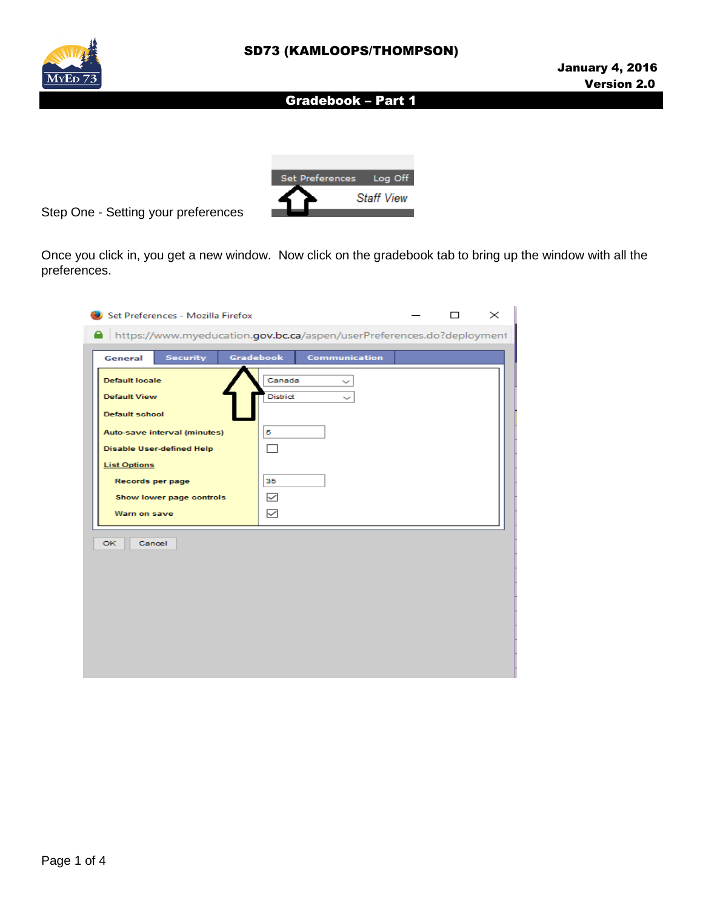



Step One - Setting your preferences

Once you click in, you get a new window. Now click on the gradebook tab to bring up the window with all the preferences.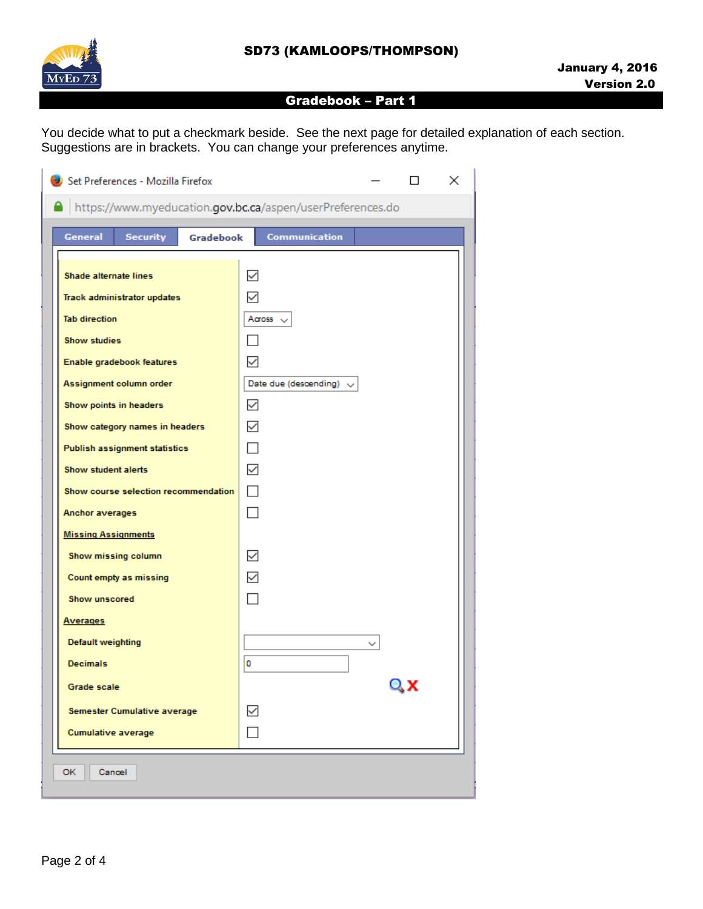

You decide what to put a checkmark beside. See the next page for detailed explanation of each section. Suggestions are in brackets. You can change your preferences anytime.

| Set Preferences - Mozilla Firefox                                      | ×                                            |
|------------------------------------------------------------------------|----------------------------------------------|
| https://www.myeducation.gov.bc.ca/aspen/userPreferences.do             |                                              |
| <b>General</b><br><b>Security</b><br><b>Gradebook</b>                  | <b>Communication</b>                         |
|                                                                        |                                              |
| <b>Shade alternate lines</b>                                           | $\checkmark$<br>✓                            |
| <b>Track administrator updates</b><br><b>Tab direction</b>             | Across $\sim$                                |
| <b>Show studies</b>                                                    |                                              |
|                                                                        | ✓                                            |
| Enable gradebook features                                              |                                              |
| Assignment column order                                                | Date due (descending) $\vee$<br>$\checkmark$ |
| Show points in headers                                                 | $\checkmark$                                 |
| Show category names in headers<br><b>Publish assignment statistics</b> | П                                            |
| Show student alerts                                                    | $\checkmark$                                 |
| Show course selection recommendation                                   | П                                            |
| <b>Anchor averages</b>                                                 |                                              |
| <b>Missing Assignments</b>                                             |                                              |
| Show missing column                                                    | $\checkmark$                                 |
|                                                                        | $\checkmark$                                 |
| Count empty as missing<br><b>Show unscored</b>                         |                                              |
| <b>Averages</b>                                                        |                                              |
| <b>Default weighting</b>                                               |                                              |
| <b>Decimals</b>                                                        | 0                                            |
|                                                                        | Qχ                                           |
| <b>Grade scale</b>                                                     |                                              |
| <b>Semester Cumulative average</b>                                     | ✓                                            |
| <b>Cumulative average</b>                                              |                                              |
| OK.<br>Cancel                                                          |                                              |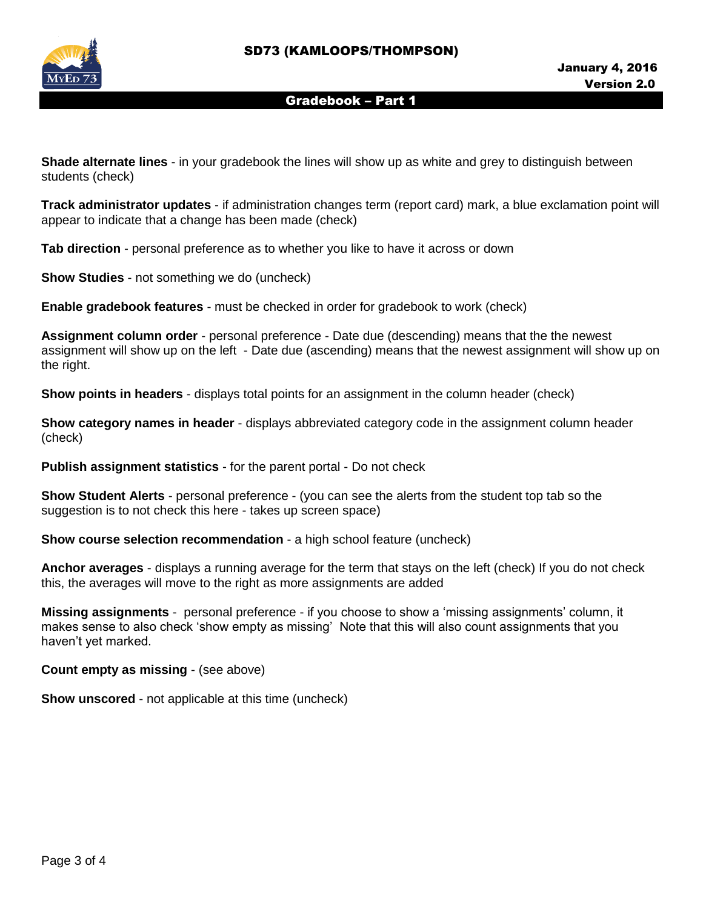

**Shade alternate lines** - in your gradebook the lines will show up as white and grey to distinguish between students (check)

**Track administrator updates** - if administration changes term (report card) mark, a blue exclamation point will appear to indicate that a change has been made (check)

**Tab direction** - personal preference as to whether you like to have it across or down

**Show Studies** - not something we do (uncheck)

**Enable gradebook features** - must be checked in order for gradebook to work (check)

**Assignment column order** - personal preference - Date due (descending) means that the the newest assignment will show up on the left - Date due (ascending) means that the newest assignment will show up on the right.

**Show points in headers** - displays total points for an assignment in the column header (check)

**Show category names in header** - displays abbreviated category code in the assignment column header (check)

**Publish assignment statistics** - for the parent portal - Do not check

**Show Student Alerts** - personal preference - (you can see the alerts from the student top tab so the suggestion is to not check this here - takes up screen space)

**Show course selection recommendation** - a high school feature (uncheck)

**Anchor averages** - displays a running average for the term that stays on the left (check) If you do not check this, the averages will move to the right as more assignments are added

**Missing assignments** - personal preference - if you choose to show a 'missing assignments' column, it makes sense to also check 'show empty as missing' Note that this will also count assignments that you haven't yet marked.

**Count empty as missing** - (see above)

**Show unscored** - not applicable at this time (uncheck)